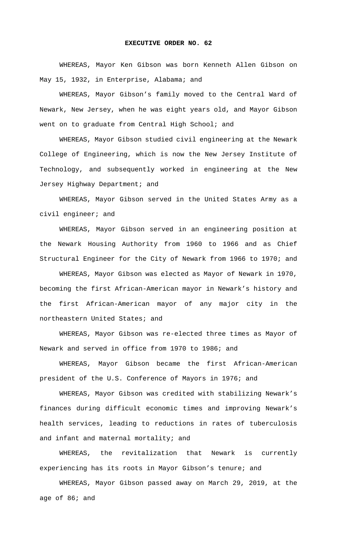## **EXECUTIVE ORDER NO. 62**

WHEREAS, Mayor Ken Gibson was born Kenneth Allen Gibson on May 15, 1932, in Enterprise, Alabama; and

WHEREAS, Mayor Gibson's family moved to the Central Ward of Newark, New Jersey, when he was eight years old, and Mayor Gibson went on to graduate from Central High School; and

WHEREAS, Mayor Gibson studied civil engineering at the Newark College of Engineering, which is now the New Jersey Institute of Technology, and subsequently worked in engineering at the New Jersey Highway Department; and

WHEREAS, Mayor Gibson served in the United States Army as a civil engineer; and

WHEREAS, Mayor Gibson served in an engineering position at the Newark Housing Authority from 1960 to 1966 and as Chief Structural Engineer for the City of Newark from 1966 to 1970; and

WHEREAS, Mayor Gibson was elected as Mayor of Newark in 1970, becoming the first African-American mayor in Newark's history and the first African-American mayor of any major city in the northeastern United States; and

WHEREAS, Mayor Gibson was re-elected three times as Mayor of Newark and served in office from 1970 to 1986; and

WHEREAS, Mayor Gibson became the first African-American president of the U.S. Conference of Mayors in 1976; and

WHEREAS, Mayor Gibson was credited with stabilizing Newark's finances during difficult economic times and improving Newark's health services, leading to reductions in rates of tuberculosis and infant and maternal mortality; and

WHEREAS, the revitalization that Newark is currently experiencing has its roots in Mayor Gibson's tenure; and

WHEREAS, Mayor Gibson passed away on March 29, 2019, at the age of 86; and